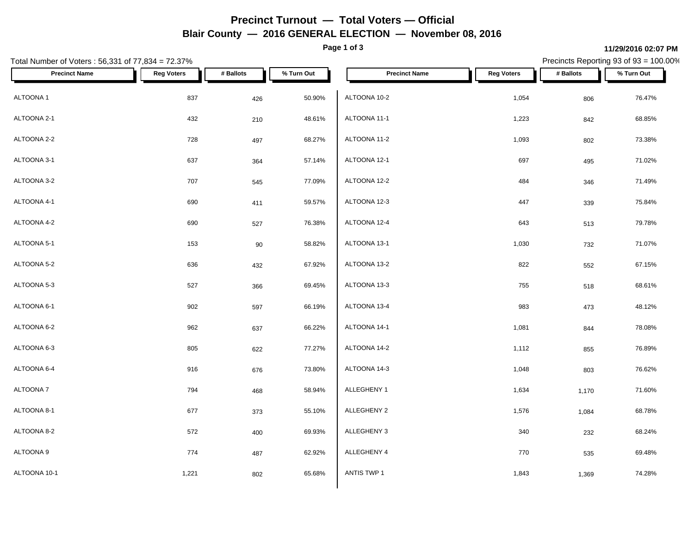## **Precinct Turnout — Total Voters — Official Blair County — 2016 GENERAL ELECTION — November 08, 2016**

**Page 1 of 3**

### **11/29/2016 02:07 PM**

Precincts Reporting 93 of 93 = 100.00%

| Total Number of Voters: 56,331 of 77,834 = 72.37% |                   |           |            |                      |                   |           | Precincts Reporting 93 of 93 = 100.00% |
|---------------------------------------------------|-------------------|-----------|------------|----------------------|-------------------|-----------|----------------------------------------|
| <b>Precinct Name</b>                              | <b>Reg Voters</b> | # Ballots | % Turn Out | <b>Precinct Name</b> | <b>Reg Voters</b> | # Ballots | % Turn Out                             |
| ALTOONA 1                                         | 837               | 426       | 50.90%     | ALTOONA 10-2         | 1,054             | 806       | 76.47%                                 |
| ALTOONA 2-1                                       | 432               | 210       | 48.61%     | ALTOONA 11-1         | 1,223             | 842       | 68.85%                                 |
| ALTOONA 2-2                                       | 728               | 497       | 68.27%     | ALTOONA 11-2         | 1,093             | 802       | 73.38%                                 |
| ALTOONA 3-1                                       | 637               | 364       | 57.14%     | ALTOONA 12-1         | 697               | 495       | 71.02%                                 |
| ALTOONA 3-2                                       | 707               | 545       | 77.09%     | ALTOONA 12-2         | 484               | 346       | 71.49%                                 |
| ALTOONA 4-1                                       | 690               | 411       | 59.57%     | ALTOONA 12-3         | 447               | 339       | 75.84%                                 |
| ALTOONA 4-2                                       | 690               | 527       | 76.38%     | ALTOONA 12-4         | 643               | 513       | 79.78%                                 |
| ALTOONA 5-1                                       | 153               | 90        | 58.82%     | ALTOONA 13-1         | 1,030             | 732       | 71.07%                                 |
| ALTOONA 5-2                                       | 636               | 432       | 67.92%     | ALTOONA 13-2         | 822               | 552       | 67.15%                                 |
| ALTOONA 5-3                                       | 527               | 366       | 69.45%     | ALTOONA 13-3         | 755               | 518       | 68.61%                                 |
| ALTOONA 6-1                                       | 902               | 597       | 66.19%     | ALTOONA 13-4         | 983               | 473       | 48.12%                                 |
| ALTOONA 6-2                                       | 962               | 637       | 66.22%     | ALTOONA 14-1         | 1,081             | 844       | 78.08%                                 |
| ALTOONA 6-3                                       | 805               | 622       | 77.27%     | ALTOONA 14-2         | 1,112             | 855       | 76.89%                                 |
| ALTOONA 6-4                                       | 916               | 676       | 73.80%     | ALTOONA 14-3         | 1,048             | 803       | 76.62%                                 |
| ALTOONA 7                                         | 794               | 468       | 58.94%     | ALLEGHENY 1          | 1,634             | 1,170     | 71.60%                                 |
| ALTOONA 8-1                                       | 677               | 373       | 55.10%     | ALLEGHENY 2          | 1,576             | 1,084     | 68.78%                                 |
| ALTOONA 8-2                                       | 572               | 400       | 69.93%     | ALLEGHENY 3          | 340               | 232       | 68.24%                                 |
| ALTOONA 9                                         | 774               | 487       | 62.92%     | ALLEGHENY 4          | 770               | 535       | 69.48%                                 |
| ALTOONA 10-1                                      | 1,221             | 802       | 65.68%     | ANTIS TWP 1          | 1,843             | 1,369     | 74.28%                                 |
|                                                   |                   |           |            |                      |                   |           |                                        |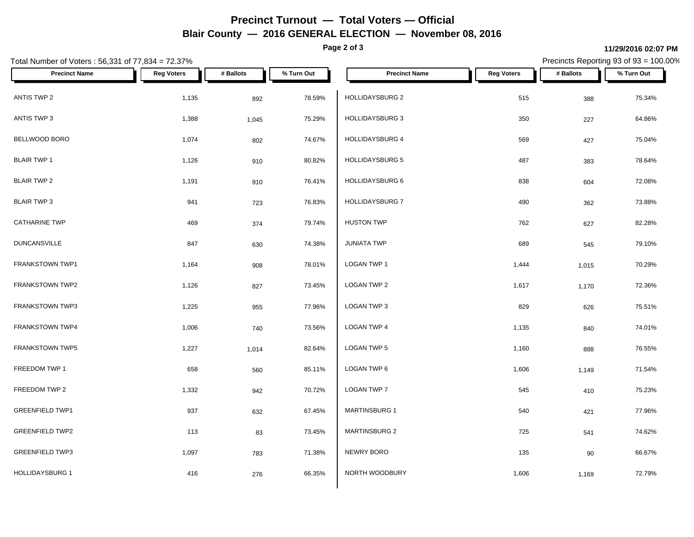## **Precinct Turnout — Total Voters — Official Blair County — 2016 GENERAL ELECTION — November 08, 2016**

**Page 2 of 3**

#### **11/29/2016 02:07 PM**

Precincts Reporting 93 of 93 = 100.00%

| Total Number of Voters: 56,331 of 77,834 = 72.37% |                   |           |            |                        |                   | Precincts Reporting 93 of 93 = 100.00% |            |
|---------------------------------------------------|-------------------|-----------|------------|------------------------|-------------------|----------------------------------------|------------|
| <b>Precinct Name</b>                              | <b>Reg Voters</b> | # Ballots | % Turn Out | <b>Precinct Name</b>   | <b>Reg Voters</b> | # Ballots                              | % Turn Out |
| ANTIS TWP 2                                       | 1,135             | 892       | 78.59%     | HOLLIDAYSBURG 2        | 515               | 388                                    | 75.34%     |
| ANTIS TWP 3                                       | 1,388             | 1,045     | 75.29%     | HOLLIDAYSBURG 3        | 350               | 227                                    | 64.86%     |
| BELLWOOD BORO                                     | 1,074             | 802       | 74.67%     | <b>HOLLIDAYSBURG 4</b> | 569               | 427                                    | 75.04%     |
| <b>BLAIR TWP 1</b>                                | 1,126             | 910       | 80.82%     | HOLLIDAYSBURG 5        | 487               | 383                                    | 78.64%     |
| <b>BLAIR TWP 2</b>                                | 1,191             | 910       | 76.41%     | <b>HOLLIDAYSBURG 6</b> | 838               | 604                                    | 72.08%     |
| <b>BLAIR TWP 3</b>                                | 941               | 723       | 76.83%     | <b>HOLLIDAYSBURG 7</b> | 490               | 362                                    | 73.88%     |
| <b>CATHARINE TWP</b>                              | 469               | 374       | 79.74%     | <b>HUSTON TWP</b>      | 762               | 627                                    | 82.28%     |
| <b>DUNCANSVILLE</b>                               | 847               | 630       | 74.38%     | <b>JUNIATA TWP</b>     | 689               | 545                                    | 79.10%     |
| FRANKSTOWN TWP1                                   | 1,164             | 908       | 78.01%     | LOGAN TWP 1            | 1,444             | 1,015                                  | 70.29%     |
| FRANKSTOWN TWP2                                   | 1,126             | 827       | 73.45%     | LOGAN TWP 2            | 1,617             | 1,170                                  | 72.36%     |
| FRANKSTOWN TWP3                                   | 1,225             | 955       | 77.96%     | LOGAN TWP 3            | 829               | 626                                    | 75.51%     |
| FRANKSTOWN TWP4                                   | 1,006             | 740       | 73.56%     | LOGAN TWP 4            | 1,135             | 840                                    | 74.01%     |
| <b>FRANKSTOWN TWP5</b>                            | 1,227             | 1,014     | 82.64%     | LOGAN TWP 5            | 1,160             | 888                                    | 76.55%     |
| FREEDOM TWP 1                                     | 658               | 560       | 85.11%     | LOGAN TWP 6            | 1,606             | 1,149                                  | 71.54%     |
| FREEDOM TWP 2                                     | 1,332             | 942       | 70.72%     | LOGAN TWP 7            | 545               | 410                                    | 75.23%     |
| <b>GREENFIELD TWP1</b>                            | 937               | 632       | 67.45%     | <b>MARTINSBURG 1</b>   | 540               | 421                                    | 77.96%     |
| <b>GREENFIELD TWP2</b>                            | 113               | 83        | 73.45%     | <b>MARTINSBURG 2</b>   | 725               | 541                                    | 74.62%     |
| <b>GREENFIELD TWP3</b>                            | 1,097             | 783       | 71.38%     | NEWRY BORO             | 135               | 90                                     | 66.67%     |
| <b>HOLLIDAYSBURG 1</b>                            | 416               | 276       | 66.35%     | NORTH WOODBURY         | 1,606             | 1,169                                  | 72.79%     |
|                                                   |                   |           |            |                        |                   |                                        |            |